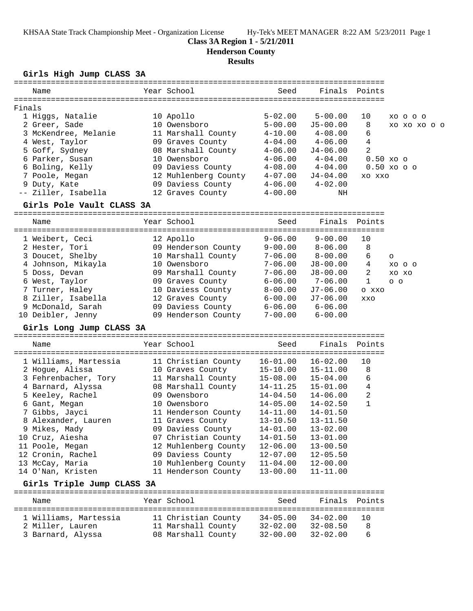**Class 3A Region 1 - 5/21/2011**

**Henderson County**

### **Results**

**Girls High Jump CLASS 3A**

| Name                 | Year School          | Seed        | Finals Points |                   |              |  |
|----------------------|----------------------|-------------|---------------|-------------------|--------------|--|
| Finals               |                      |             |               |                   |              |  |
| 1 Higgs, Natalie     | 10 Apollo            | $5 - 02.00$ | $5 - 00.00$   | 10                | XO O O O     |  |
| 2 Greer, Sade        | 10 Owensboro         | $5 - 00.00$ | J5-00.00      | 8                 | XO XO XO O O |  |
| 3 McKendree, Melanie | 11 Marshall County   | $4 - 10.00$ | $4 - 08.00$   | 6                 |              |  |
| 4 West, Taylor       | 09 Graves County     | $4 - 04.00$ | $4 - 06.00$   | 4                 |              |  |
| 5 Goff, Sydney       | 08 Marshall County   | $4 - 06.00$ | J4-06.00      | $\overline{2}$    |              |  |
| 6 Parker, Susan      | 10 Owensboro         | $4 - 06.00$ | $4 - 04.00$   | $0.50 \times 00$  |              |  |
| 6 Boling, Kelly      | 09 Daviess County    | $4 - 08.00$ | $4 - 04.00$   | $0.50 \times 000$ |              |  |
| 7 Poole, Megan       | 12 Muhlenberg County | $4 - 07.00$ | J4-04.00      | XO XXO            |              |  |
| 9 Duty, Kate         | 09 Daviess County    | $4 - 06.00$ | $4 - 02.00$   |                   |              |  |
| -- Ziller, Isabella  | 12 Graves County     | $4 - 00.00$ | ΝH            |                   |              |  |

#### **Girls Pole Vault CLASS 3A**

================================================================================ Name Year School Seed Finals Points ================================================================================ 1 Weibert, Ceci 12 Apollo 9-06.00 9-00.00 10 2 Hester, Tori 09 Henderson County 9-00.00 8-06.00 8 3 Doucet, Shelby 10 Marshall County 7-06.00 8-00.00 6 o 4 Johnson, Mikayla 10 Owensboro 7-06.00 J8-00.00 4 xo o o 5 Doss, Devan 09 Marshall County 7-06.00 J8-00.00 2 xo xo 6 West, Taylor 09 Graves County 6-06.00 7-06.00 1 o o 7 Turner, Haley 10 Daviess County 8-00.00 J7-06.00 o xxo 8 Ziller, Isabella 12 Graves County 6-00.00 J7-06.00 xxo 9 McDonald, Sarah 09 Daviess County 6-06.00 6-06.00 10 Deibler, Jenny 09 Henderson County 7-00.00 6-00.00

#### **Girls Long Jump CLASS 3A**

================================================================================ Name Year School Seed Finals Points ================================================================================ 1 Williams, Martessia 11 Christian County 16-01.00 16-02.00 10 2 Hogue, Alissa 10 Graves County 15-10.00 15-11.00 8 3 Fehrenbacher, Tory 11 Marshall County 15-08.00 15-04.00 6 4 Barnard, Alyssa 08 Marshall County 14-11.25 15-01.00 4 5 Keeley, Rachel 09 Owensboro 14-04.50 14-06.00 2 6 Gant, Megan 10 Owensboro 14-05.00 14-02.50 1 7 Gibbs, Jayci 11 Henderson County 14-11.00 14-01.50 8 Alexander, Lauren 11 Graves County 13-10.50 13-11.50 9 Mikes, Mady 09 Daviess County 14-01.00 13-02.00 10 Cruz, Aiesha 07 Christian County 14-01.50 13-01.00 11 Poole, Megan 12 Muhlenberg County 12-06.00 13-00.50 12 Cronin, Rachel 09 Daviess County 12-07.00 12-05.50 13 McCay, Maria 10 Muhlenberg County 11-04.00 12-00.00 14 O'Nan, Kristen 11 Henderson County 13-00.00 11-11.00

### **Girls Triple Jump CLASS 3A**

================================================================================ Name The Year School Contract Seed Finals Points ================================================================================ 1 Williams, Martessia 11 Christian County 34-05.00 34-02.00 10 2 Miller, Lauren 11 Marshall County 32-02.00 32-08.50 8 3 Barnard, Alyssa 08 Marshall County 32-00.00 32-02.00 6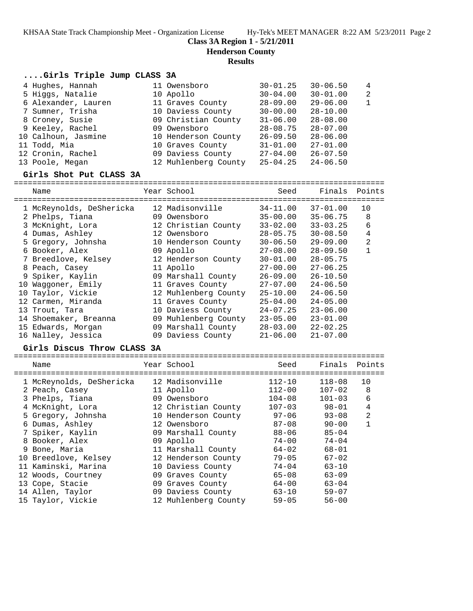**Class 3A Region 1 - 5/21/2011**

**Henderson County**

# **Results**

# **....Girls Triple Jump CLASS 3A**

| 4 Hughes, Hannah    | 11 Owensboro         | $30 - 01.25$ | $30 - 06.50$ | $\overline{4}$ |
|---------------------|----------------------|--------------|--------------|----------------|
| 5 Higgs, Natalie    | 10 Apollo            | $30 - 04.00$ | $30 - 01.00$ | -2             |
| 6 Alexander, Lauren | 11 Graves County     | $28 - 09.00$ | $29 - 06.00$ | $\mathbf{1}$   |
| 7 Sumner, Trisha    | 10 Daviess County    | $30 - 00.00$ | $28 - 10.00$ |                |
| 8 Croney, Susie     | 09 Christian County  | $31 - 06.00$ | $28 - 08.00$ |                |
| 9 Keeley, Rachel    | 09 Owensboro         | $28 - 08.75$ | $28 - 07.00$ |                |
| 10 Calhoun, Jasmine | 10 Henderson County  | $26 - 09.50$ | $28 - 06.00$ |                |
| 11 Todd, Mia        | 10 Graves County     | $31 - 01.00$ | $27 - 01.00$ |                |
| 12 Cronin, Rachel   | 09 Daviess County    | $27 - 04.00$ | $26 - 07.50$ |                |
| 13 Poole, Megan     | 12 Muhlenberg County | $25 - 04.25$ | $24 - 06.50$ |                |
|                     |                      |              |              |                |

## **Girls Shot Put CLASS 3A**

================================================================================

| Name                     | Year School          | Seed         | Finals       | Points |
|--------------------------|----------------------|--------------|--------------|--------|
| 1 McReynolds, DeShericka | 12 Madisonville      | $34 - 11.00$ | $37 - 01.00$ | 10     |
| 2 Phelps, Tiana          | 09 Owensboro         | $35 - 00.00$ | $35 - 06.75$ | 8      |
| 3 McKnight, Lora         | 12 Christian County  | $33 - 02.00$ | $33 - 03.25$ | 6      |
| 4 Dumas, Ashley          | 12 Owensboro         | $28 - 05.75$ | $30 - 08.50$ | 4      |
| 5 Gregory, Johnsha       | 10 Henderson County  | $30 - 06.50$ | $29 - 09.00$ | 2      |
| 6 Booker, Alex           | 09 Apollo            | $27 - 08.00$ | $28 - 09.50$ |        |
| 7 Breedlove, Kelsey      | 12 Henderson County  | $30 - 01.00$ | $28 - 05.75$ |        |
| 8 Peach, Casey           | 11 Apollo            | $27 - 00.00$ | $27 - 06.25$ |        |
| 9 Spiker, Kaylin         | 09 Marshall County   | $26 - 09.00$ | $26 - 10.50$ |        |
| 10 Waqqoner, Emily       | 11 Graves County     | $27 - 07.00$ | $24 - 06.50$ |        |
| 10 Taylor, Vickie        | 12 Muhlenberg County | $25 - 10.00$ | $24 - 06.50$ |        |
| 12 Carmen, Miranda       | 11 Graves County     | $25 - 04.00$ | $24 - 05.00$ |        |
| 13 Trout, Tara           | 10 Daviess County    | $24 - 07.25$ | $23 - 06.00$ |        |
| 14 Shoemaker, Breanna    | 09 Muhlenberg County | $23 - 05.00$ | $23 - 01.00$ |        |
| 15 Edwards, Morgan       | 09 Marshall County   | $28 - 03.00$ | $22 - 02.25$ |        |
| 16 Nalley, Jessica       | 09 Daviess County    | $21 - 06.00$ | $21 - 07.00$ |        |

## **Girls Discus Throw CLASS 3A**

| Name                     | Year School          | Seed       | Finals Points |                |
|--------------------------|----------------------|------------|---------------|----------------|
| 1 McReynolds, DeShericka | 12 Madisonville      | $112 - 10$ | $118 - 08$    | 10             |
| 2 Peach, Casey           | 11 Apollo            | $112 - 00$ | $107 - 02$    | 8              |
| 3 Phelps, Tiana          | 09 Owensboro         | $104 - 08$ | $101 - 03$    | 6              |
| 4 McKnight, Lora         | 12 Christian County  | $107 - 03$ | $98 - 01$     | 4              |
| 5 Gregory, Johnsha       | 10 Henderson County  | $97 - 06$  | $93 - 08$     | $\overline{2}$ |
| 6 Dumas, Ashley          | 12 Owensboro         | $87 - 08$  | $90 - 00$     | 1              |
| 7 Spiker, Kaylin         | 09 Marshall County   | 88-06      | $85 - 04$     |                |
| 8 Booker, Alex           | 09 Apollo            | 74-00      | $74 - 04$     |                |
| 9 Bone, Maria            | 11 Marshall County   | 64-02      | $68 - 01$     |                |
| 10 Breedlove, Kelsey     | 12 Henderson County  | 79-05      | $67 - 02$     |                |
| 11 Kaminski, Marina      | 10 Daviess County    | 74-04      | $63 - 10$     |                |
| 12 Woods, Courtney       | 09 Graves County     | $65 - 08$  | $63 - 09$     |                |
| 13 Cope, Stacie          | 09 Graves County     | 64-00      | $63 - 04$     |                |
| 14 Allen, Taylor         | 09 Daviess County    | 63-10      | $59 - 07$     |                |
| 15 Taylor, Vickie        | 12 Muhlenberg County | $59 - 05$  | $56 - 00$     |                |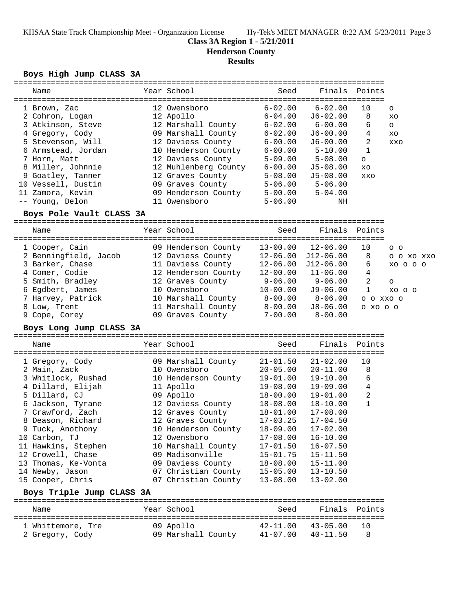# **Class 3A Region 1 - 5/21/2011**

**Henderson County**

#### **Results**

#### **Boys High Jump CLASS 3A**

| Name               |    | Year School          | Seed        | Finals Points |                |            |
|--------------------|----|----------------------|-------------|---------------|----------------|------------|
|                    |    |                      |             |               |                |            |
| 1 Brown, Zac       |    | 12 Owensboro         | $6 - 02.00$ | $6 - 02.00$   | 10             | $\circ$    |
| 2 Cohron, Logan    |    | 12 Apollo            | $6 - 04.00$ | $J6 - 02.00$  | 8              | XO         |
| 3 Atkinson, Steve  |    | 12 Marshall County   | $6 - 02.00$ | $6 - 00.00$   | 6              | $\circ$    |
| 4 Gregory, Cody    |    | 09 Marshall County   | $6 - 02.00$ | $J6 - 00.00$  | 4              | XO         |
| 5 Stevenson, Will  |    | 12 Daviess County    | $6 - 00.00$ | $J6-00.00$    | $\overline{2}$ | <b>XXO</b> |
| 6 Armstead, Jordan |    | 10 Henderson County  | $6 - 00.00$ | $5 - 10.00$   | $\mathbf 1$    |            |
| 7 Horn, Matt       |    | 12 Daviess County    | $5 - 09.00$ | $5 - 08.00$   | $\circ$        |            |
| 8 Miller, Johnnie  |    | 12 Muhlenberg County | $6 - 00.00$ | $J5-08.00$    | XO             |            |
| 9 Goatley, Tanner  |    | 12 Graves County     | $5 - 08.00$ | $J5-08.00$    | XXO            |            |
| 10 Vessell, Dustin |    | 09 Graves County     | $5 - 06.00$ | $5 - 06.00$   |                |            |
| 11 Zamora, Kevin   |    | 09 Henderson County  | $5 - 00.00$ | $5 - 04.00$   |                |            |
| -- Young, Delon    | 11 | Owensboro            | $5 - 06.00$ | ΝH            |                |            |

#### **Boys Pole Vault CLASS 3A**

================================================================================ Name Year School Seed Finals Points ================================================================================ 1 Cooper, Cain 09 Henderson County 13-00.00 12-06.00 10 o o 2 Benningfield, Jacob 12 Daviess County 12-06.00 J12-06.00 8 o o xo xxo 3 Barker, Chase 11 Daviess County 12-06.00 J12-06.00 6 xo o o o 4 Comer, Codie 12 Henderson County 12-00.00 11-06.00 4 5 Smith, Bradley 12 Graves County 9-06.00 9-06.00 2 o 6 Egdbert, James 10 Owensboro 10-00.00 J9-06.00 1 xo o o 7 Harvey, Patrick 10 Marshall County 8-00.00 8-06.00 o o xxo o 8 Low, Trent 11 Marshall County 8-00.00 J8-06.00 o xo o o 9 Cope, Corey 09 Graves County 7-00.00 8-00.00

### **Boys Long Jump CLASS 3A**

================================================================================ Name Year School Seed Finals Points ================================================================================ 1 Gregory, Cody 09 Marshall County 21-01.50 21-02.00 10 2 Main, Zack 10 Owensboro 20-05.00 20-11.00 8 3 Whitlock, Rushad 10 Henderson County 19-01.00 19-10.00 6 4 Dillard, Elijah 11 Apollo 19-08.00 19-09.00 4 5 Dillard, CJ 09 Apollo 18-00.00 19-01.00 2 6 Jackson, Tyrane 12 Daviess County 18-08.00 18-10.00 1 7 Crawford, Zach 12 Graves County 18-01.00 17-08.00 8 Deason, Richard 12 Graves County 17-03.25 17-04.50 9 Tuck, Anothony 10 Henderson County 18-09.00 17-02.00 10 Carbon, TJ 12 Owensboro 17-08.00 16-10.00 11 Hawkins, Stephen 10 Marshall County 17-01.50 16-07.50 12 Crowell, Chase 09 Madisonville 15-01.75 15-11.50 13 Thomas, Ke-Vonta 09 Daviess County 18-08.00 15-11.00 14 Newby, Jason 07 Christian County 15-05.00 13-10.50 15 Cooper, Chris 07 Christian County 13-08.00 13-02.00

# **Boys Triple Jump CLASS 3A**

| Name                                 | Year School                     | Seed                         | Finals Points                |            |
|--------------------------------------|---------------------------------|------------------------------|------------------------------|------------|
| 1 Whittemore, Tre<br>2 Gregory, Cody | 09 Apollo<br>09 Marshall County | $42 - 11.00$<br>$41 - 07.00$ | $43 - 05.00$<br>$40 - 11.50$ | - 1 O<br>8 |